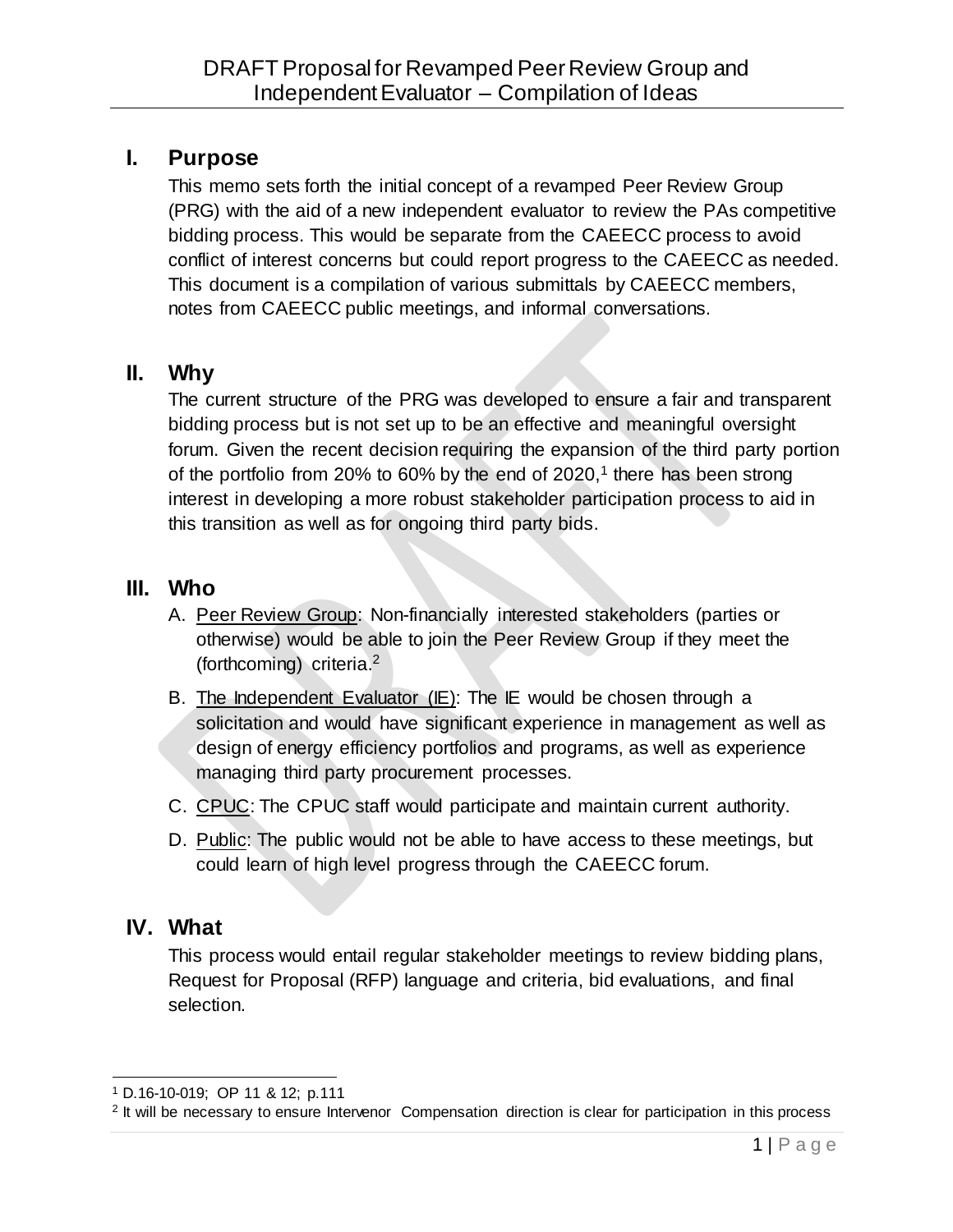# **I. Purpose**

This memo sets forth the initial concept of a revamped Peer Review Group (PRG) with the aid of a new independent evaluator to review the PAs competitive bidding process. This would be separate from the CAEECC process to avoid conflict of interest concerns but could report progress to the CAEECC as needed. This document is a compilation of various submittals by CAEECC members, notes from CAEECC public meetings, and informal conversations.

# **II. Why**

The current structure of the PRG was developed to ensure a fair and transparent bidding process but is not set up to be an effective and meaningful oversight forum. Given the recent decision requiring the expansion of the third party portion of the portfolio from 20% to 60% by the end of 2020,<sup>1</sup> there has been strong interest in developing a more robust stakeholder participation process to aid in this transition as well as for ongoing third party bids.

## **III. Who**

- A. Peer Review Group: Non-financially interested stakeholders (parties or otherwise) would be able to join the Peer Review Group if they meet the (forthcoming) criteria.<sup>2</sup>
- B. The Independent Evaluator (IE): The IE would be chosen through a solicitation and would have significant experience in management as well as design of energy efficiency portfolios and programs, as well as experience managing third party procurement processes.
- C. CPUC: The CPUC staff would participate and maintain current authority.
- D. Public: The public would not be able to have access to these meetings, but could learn of high level progress through the CAEECC forum.

# **IV. What**

This process would entail regular stakeholder meetings to review bidding plans, Request for Proposal (RFP) language and criteria, bid evaluations, and final selection.

 <sup>1</sup> D.16-10-019; OP 11 & 12; p.111

<sup>&</sup>lt;sup>2</sup> It will be necessary to ensure Intervenor Compensation direction is clear for participation in this process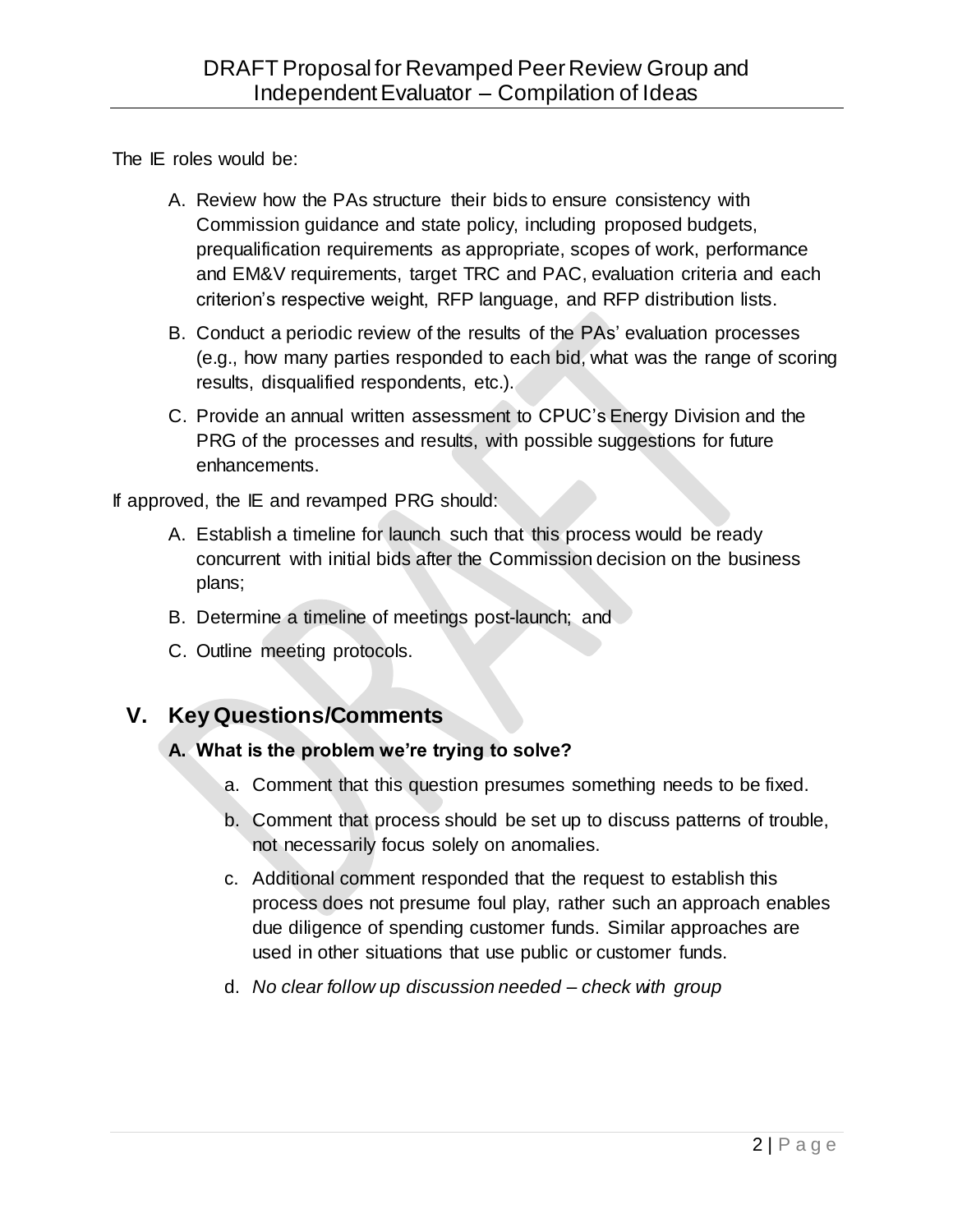The IE roles would be:

- A. Review how the PAs structure their bids to ensure consistency with Commission guidance and state policy, including proposed budgets, prequalification requirements as appropriate, scopes of work, performance and EM&V requirements, target TRC and PAC, evaluation criteria and each criterion's respective weight, RFP language, and RFP distribution lists.
- B. Conduct a periodic review of the results of the PAs' evaluation processes (e.g., how many parties responded to each bid, what was the range of scoring results, disqualified respondents, etc.).
- C. Provide an annual written assessment to CPUC's Energy Division and the PRG of the processes and results, with possible suggestions for future enhancements.

If approved, the IE and revamped PRG should:

- A. Establish a timeline for launch such that this process would be ready concurrent with initial bids after the Commission decision on the business plans;
- B. Determine a timeline of meetings post-launch; and
- C. Outline meeting protocols.

# **V. Key Questions/Comments**

## **A. What is the problem we're trying to solve?**

- a. Comment that this question presumes something needs to be fixed.
- b. Comment that process should be set up to discuss patterns of trouble, not necessarily focus solely on anomalies.
- c. Additional comment responded that the request to establish this process does not presume foul play, rather such an approach enables due diligence of spending customer funds. Similar approaches are used in other situations that use public or customer funds.
- d. *No clear follow up discussion needed – check with group*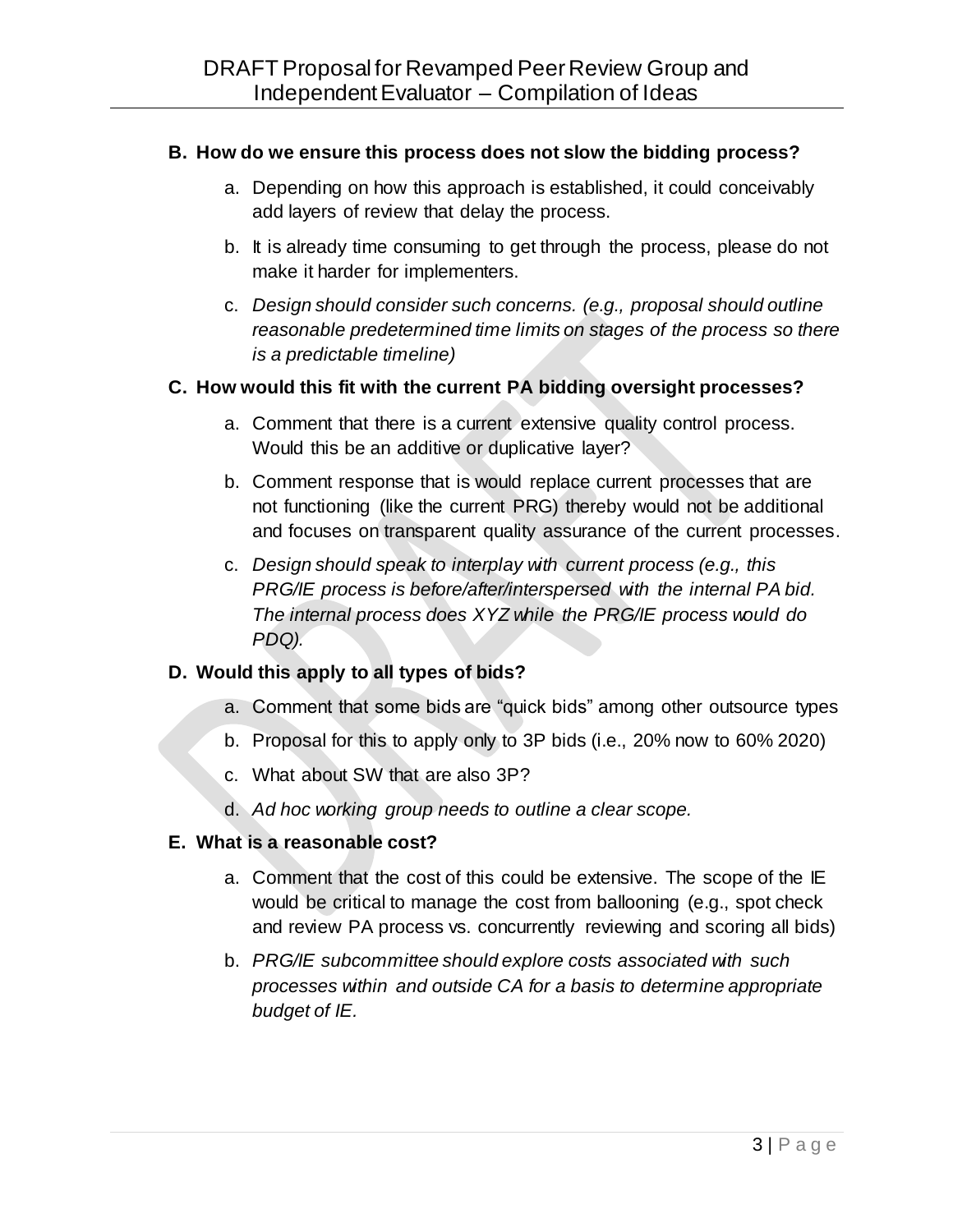#### **B. How do we ensure this process does not slow the bidding process?**

- a. Depending on how this approach is established, it could conceivably add layers of review that delay the process.
- b. It is already time consuming to get through the process, please do not make it harder for implementers.
- c. *Design should consider such concerns. (e.g., proposal should outline reasonable predetermined time limits on stages of the process so there is a predictable timeline)*

#### **C. How would this fit with the current PA bidding oversight processes?**

- a. Comment that there is a current extensive quality control process. Would this be an additive or duplicative layer?
- b. Comment response that is would replace current processes that are not functioning (like the current PRG) thereby would not be additional and focuses on transparent quality assurance of the current processes.
- c. *Design should speak to interplay with current process (e.g., this PRG/IE process is before/after/interspersed with the internal PA bid. The internal process does XYZ while the PRG/IE process would do PDQ).*

## **D. Would this apply to all types of bids?**

- a. Comment that some bids are "quick bids" among other outsource types
- b. Proposal for this to apply only to 3P bids (i.e., 20% now to 60% 2020)
- c. What about SW that are also 3P?
- d. *Ad hoc working group needs to outline a clear scope.*

#### **E. What is a reasonable cost?**

- a. Comment that the cost of this could be extensive. The scope of the IE would be critical to manage the cost from ballooning (e.g., spot check and review PA process vs. concurrently reviewing and scoring all bids)
- b. *PRG/IE subcommittee should explore costs associated with such processes within and outside CA for a basis to determine appropriate budget of IE.*